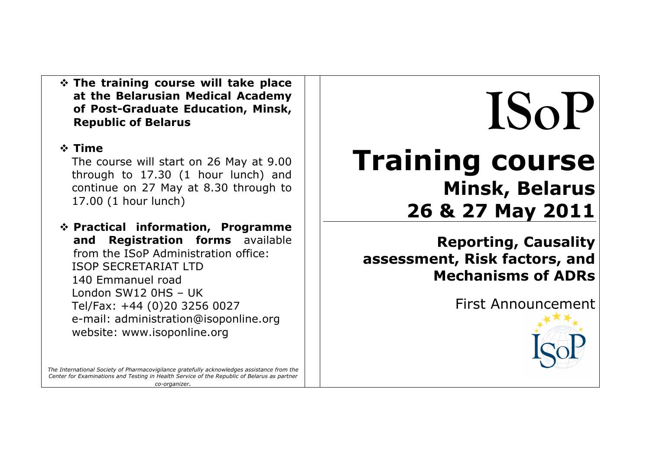**The training course will take place at the Belarusian Medical Academy of Post-Graduate Education, Minsk, Republic of Belarus**

### **Time**

The course will start on 26 May at 9.00 through to 17.30 (1 hour lunch) and continue on 27 May at 8.30 through to 17.00 (1 hour lunch)

 **Practical information, Programme and Registration forms** available from the ISoP Administration office: ISOP SECRETARIAT LTD 140 Emmanuel road London SW12 0HS – UK Tel/Fax: +44 (0)20 3256 0027 e-mail: administration@isoponline.org website: www.isoponline.org

#### *The International Society of Pharmacovigilance gratefully acknowledges assistance from the Center for Examinations and Testing in Health Service of the Republic of Belarus as partner co-organizer.*

# **ISoP Training course Minsk, Belarus 26 & 27 May 2011**

**Reporting, Causality assessment, Risk factors, and Mechanisms of ADRs**

First Announcement